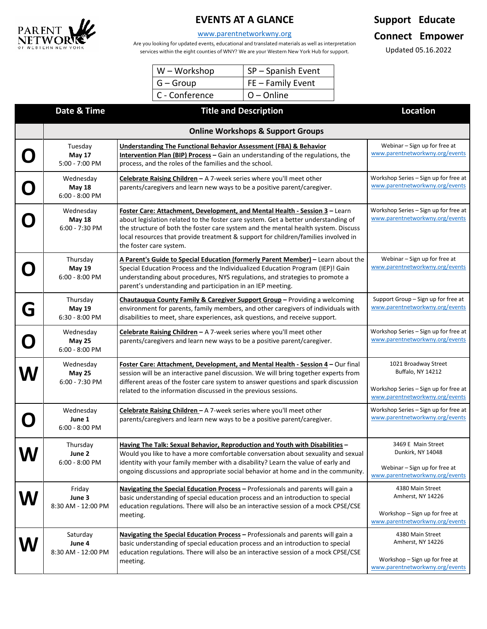

# **EVENTS AT A GLANCE**

#### [www.parentnetworkwny.org](http://www.parentnetworkwny.org/)

Are you looking for updated events, educational and translated materials as well as interpretation services within the eight counties of WNY? We are your Western New York Hub for support.

| $W - Workshop$ | SP-Spanish Event  |  |  |
|----------------|-------------------|--|--|
| $G - Group$    | FE - Family Event |  |  |
| C - Conference | $O$ – Online      |  |  |

# **Support Educate Connect Empower**

Updated 05.16.2022

|   | Date & Time                                    | <b>Title and Description</b>                                                                                                                                                                                                                                                                                                                                             | <b>Location</b>                                                                                                       |  |  |
|---|------------------------------------------------|--------------------------------------------------------------------------------------------------------------------------------------------------------------------------------------------------------------------------------------------------------------------------------------------------------------------------------------------------------------------------|-----------------------------------------------------------------------------------------------------------------------|--|--|
|   | <b>Online Workshops &amp; Support Groups</b>   |                                                                                                                                                                                                                                                                                                                                                                          |                                                                                                                       |  |  |
| O | Tuesday<br><b>May 17</b><br>5:00 - 7:00 PM     | <b>Understanding The Functional Behavior Assessment (FBA) &amp; Behavior</b><br>Intervention Plan (BIP) Process - Gain an understanding of the regulations, the<br>process, and the roles of the families and the school.                                                                                                                                                | Webinar - Sign up for free at<br>www.parentnetworkwny.org/events                                                      |  |  |
| O | Wednesday<br><b>May 18</b><br>$6:00 - 8:00$ PM | Celebrate Raising Children - A 7-week series where you'll meet other<br>parents/caregivers and learn new ways to be a positive parent/caregiver.                                                                                                                                                                                                                         | Workshop Series - Sign up for free at<br>www.parentnetworkwny.org/events                                              |  |  |
|   | Wednesday<br><b>May 18</b><br>6:00 - 7:30 PM   | Foster Care: Attachment, Development, and Mental Health - Session 3 - Learn<br>about legislation related to the foster care system. Get a better understanding of<br>the structure of both the foster care system and the mental health system. Discuss<br>local resources that provide treatment & support for children/families involved in<br>the foster care system. | Workshop Series - Sign up for free at<br>www.parentnetworkwny.org/events                                              |  |  |
|   | Thursday<br><b>May 19</b><br>6:00 - 8:00 PM    | A Parent's Guide to Special Education (formerly Parent Member) - Learn about the<br>Special Education Process and the Individualized Education Program (IEP)! Gain<br>understanding about procedures, NYS regulations, and strategies to promote a<br>parent's understanding and participation in an IEP meeting.                                                        | Webinar - Sign up for free at<br>www.parentnetworkwny.org/events                                                      |  |  |
| G | Thursday<br><b>May 19</b><br>$6:30 - 8:00$ PM  | Chautauqua County Family & Caregiver Support Group - Providing a welcoming<br>environment for parents, family members, and other caregivers of individuals with<br>disabilities to meet, share experiences, ask questions, and receive support.                                                                                                                          | Support Group - Sign up for free at<br>www.parentnetworkwny.org/events                                                |  |  |
| O | Wednesday<br><b>May 25</b><br>$6:00 - 8:00$ PM | Celebrate Raising Children - A 7-week series where you'll meet other<br>parents/caregivers and learn new ways to be a positive parent/caregiver.                                                                                                                                                                                                                         | Workshop Series - Sign up for free at<br>www.parentnetworkwny.org/events                                              |  |  |
| W | Wednesday<br>May 25<br>6:00 - 7:30 PM          | Foster Care: Attachment, Development, and Mental Health - Session 4 - Our final<br>session will be an interactive panel discussion. We will bring together experts from<br>different areas of the foster care system to answer questions and spark discussion<br>related to the information discussed in the previous sessions.                                          | 1021 Broadway Street<br>Buffalo, NY 14212<br>Workshop Series - Sign up for free at<br>www.parentnetworkwny.org/events |  |  |
|   | Wednesday<br>June 1<br>6:00 - 8:00 PM          | Celebrate Raising Children - A 7-week series where you'll meet other<br>parents/caregivers and learn new ways to be a positive parent/caregiver.                                                                                                                                                                                                                         | Workshop Series - Sign up for free at<br>www.parentnetworkwny.org/events                                              |  |  |
|   | Thursday<br>June 2<br>6:00 - 8:00 PM           | Having The Talk: Sexual Behavior, Reproduction and Youth with Disabilities -<br>Would you like to have a more comfortable conversation about sexuality and sexual<br>identity with your family member with a disability? Learn the value of early and<br>ongoing discussions and appropriate social behavior at home and in the community.                               | 3469 E Main Street<br>Dunkirk, NY 14048<br>Webinar - Sign up for free at<br>www.parentnetworkwny.org/events           |  |  |
|   | Friday<br>June 3<br>8:30 AM - 12:00 PM         | Navigating the Special Education Process - Professionals and parents will gain a<br>basic understanding of special education process and an introduction to special<br>education regulations. There will also be an interactive session of a mock CPSE/CSE<br>meeting.                                                                                                   | 4380 Main Street<br>Amherst, NY 14226<br>Workshop - Sign up for free at<br>www.parentnetworkwny.org/events            |  |  |
|   | Saturday<br>June 4<br>8:30 AM - 12:00 PM       | Navigating the Special Education Process - Professionals and parents will gain a<br>basic understanding of special education process and an introduction to special<br>education regulations. There will also be an interactive session of a mock CPSE/CSE<br>meeting.                                                                                                   | 4380 Main Street<br>Amherst, NY 14226<br>Workshop - Sign up for free at<br>www.parentnetworkwny.org/events            |  |  |